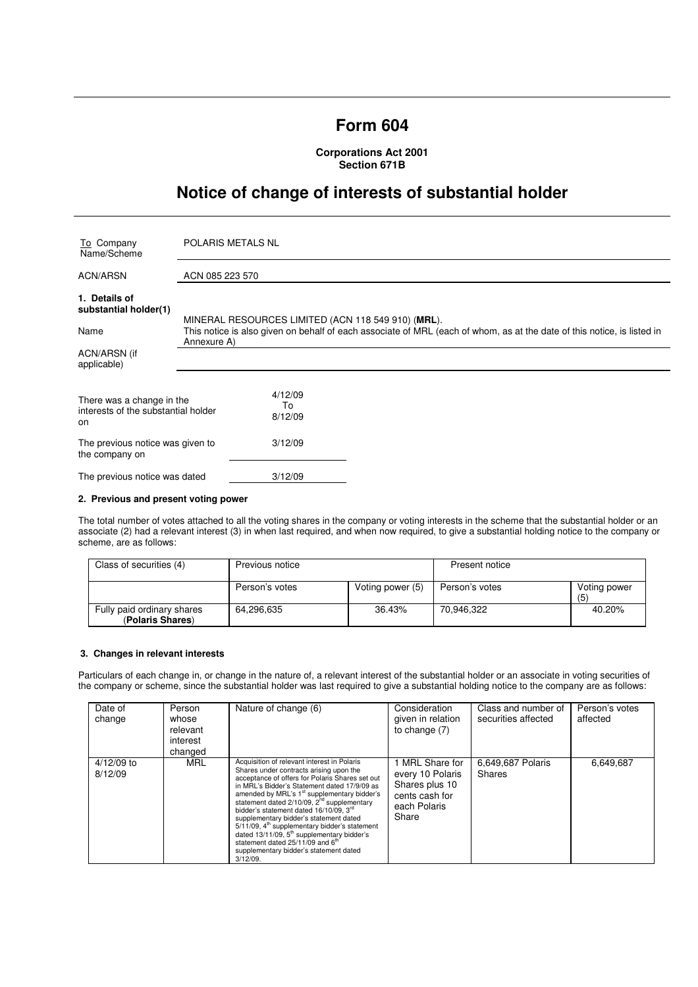# **Form 604**

# **Corporations Act 2001 Section 671B**

# **Notice of change of interests of substantial holder**

| To Company<br>Name/Scheme                                              | POLARIS METALS NL                                                                                                                                                             |  |  |
|------------------------------------------------------------------------|-------------------------------------------------------------------------------------------------------------------------------------------------------------------------------|--|--|
| <b>ACN/ARSN</b>                                                        | ACN 085 223 570                                                                                                                                                               |  |  |
| 1. Details of<br>substantial holder(1)<br>Name                         | MINERAL RESOURCES LIMITED (ACN 118 549 910) (MRL).<br>This notice is also given on behalf of each associate of MRL (each of whom, as at the date of this notice, is listed in |  |  |
|                                                                        | Annexure A)                                                                                                                                                                   |  |  |
| ACN/ARSN (if<br>applicable)                                            |                                                                                                                                                                               |  |  |
| There was a change in the<br>interests of the substantial holder<br>on | 4/12/09<br>To<br>8/12/09                                                                                                                                                      |  |  |
| The previous notice was given to<br>the company on                     | 3/12/09                                                                                                                                                                       |  |  |
| The previous notice was dated                                          | 3/12/09                                                                                                                                                                       |  |  |

### **2. Previous and present voting power**

The total number of votes attached to all the voting shares in the company or voting interests in the scheme that the substantial holder or an associate (2) had a relevant interest (3) in when last required, and when now required, to give a substantial holding notice to the company or scheme, are as follows:

| Class of securities (4)                        | Previous notice |                  | Present notice |                     |
|------------------------------------------------|-----------------|------------------|----------------|---------------------|
|                                                | Person's votes  | Voting power (5) | Person's votes | Voting power<br>(5) |
| Fully paid ordinary shares<br>(Polaris Shares) | 64.296.635      | 36.43%           | 70.946.322     | 40.20%              |

#### **3. Changes in relevant interests**

Particulars of each change in, or change in the nature of, a relevant interest of the substantial holder or an associate in voting securities of the company or scheme, since the substantial holder was last required to give a substantial holding notice to the company are as follows:

| Date of<br>change       | Person<br>whose<br>relevant<br>interest<br>changed | Nature of change (6)                                                                                                                                                                                                                                                                                                                                                                                                                                                                                                                                                                                                               | Consideration<br>given in relation<br>to change $(7)$                                            | Class and number of<br>securities affected | Person's votes<br>affected |
|-------------------------|----------------------------------------------------|------------------------------------------------------------------------------------------------------------------------------------------------------------------------------------------------------------------------------------------------------------------------------------------------------------------------------------------------------------------------------------------------------------------------------------------------------------------------------------------------------------------------------------------------------------------------------------------------------------------------------------|--------------------------------------------------------------------------------------------------|--------------------------------------------|----------------------------|
| $4/12/09$ to<br>8/12/09 | MRL                                                | Acquisition of relevant interest in Polaris<br>Shares under contracts arising upon the<br>acceptance of offers for Polaris Shares set out<br>in MRL's Bidder's Statement dated 17/9/09 as<br>amended by MRL's 1 <sup>st</sup> supplementary bidder's<br>statement dated 2/10/09, 2 <sup>nd</sup> supplementary<br>bidder's statement dated 16/10/09, 3rd<br>supplementary bidder's statement dated<br>5/11/09, 4 <sup>th</sup> supplementary bidder's statement<br>dated 13/11/09, 5 <sup>th</sup> supplementary bidder's<br>statement dated 25/11/09 and 6 <sup>th</sup><br>supplementary bidder's statement dated<br>$3/12/09$ . | 1 MRL Share for<br>every 10 Polaris<br>Shares plus 10<br>cents cash for<br>each Polaris<br>Share | 6,649,687 Polaris<br>Shares                | 6,649,687                  |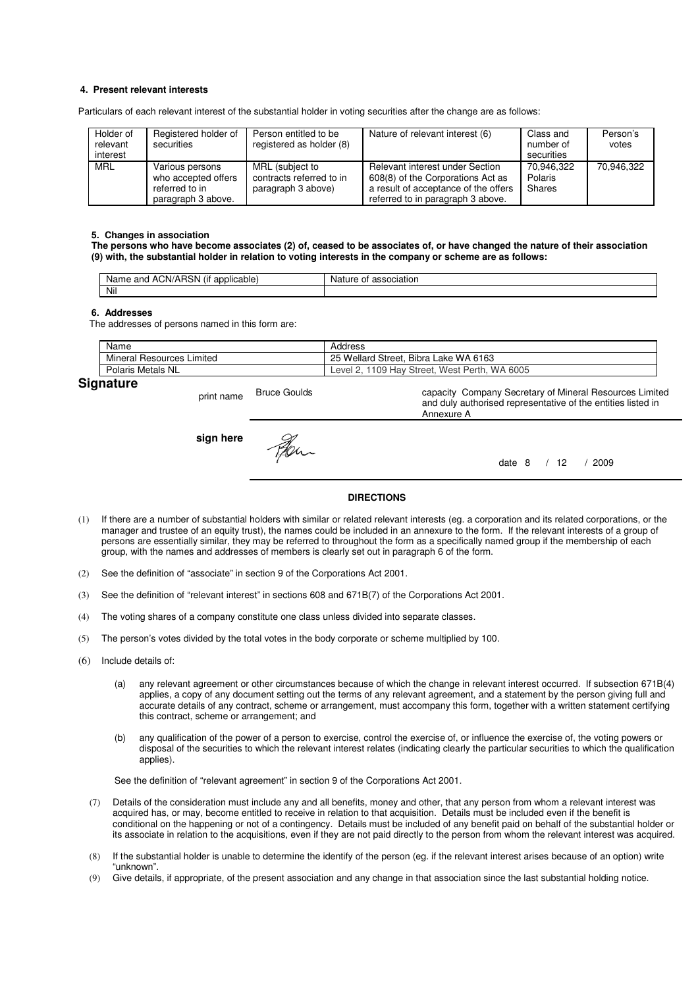### **4. Present relevant interests**

Particulars of each relevant interest of the substantial holder in voting securities after the change are as follows:

| Holder of<br>relevant<br>interest | Registered holder of<br>securities                                             | Person entitled to be<br>registered as holder (8)                 | Nature of relevant interest (6)                                                                                                                   | Class and<br>number of<br>securities | Person's<br>votes |
|-----------------------------------|--------------------------------------------------------------------------------|-------------------------------------------------------------------|---------------------------------------------------------------------------------------------------------------------------------------------------|--------------------------------------|-------------------|
| MRL                               | Various persons<br>who accepted offers<br>referred to in<br>paragraph 3 above. | MRL (subject to<br>contracts referred to in<br>paragraph 3 above) | Relevant interest under Section<br>608(8) of the Corporations Act as<br>a result of acceptance of the offers<br>referred to in paragraph 3 above. | 70.946.322<br>Polaris<br>Shares      | 70,946,322        |

#### **5. Changes in association**

**The persons who have become associates (2) of, ceased to be associates of, or have changed the nature of their association (9) with, the substantial holder in relation to voting interests in the company or scheme are as follows:** 

| $\cdots$<br>ימ<br>ACN/AH<br>and<br>licable:<br>Name<br>ווסו<br>$-1111$<br>. . | ciation<br>Nai.<br>nt |
|-------------------------------------------------------------------------------|-----------------------|
| Nil                                                                           |                       |

#### **6. Addresses**

The addresses of persons named in this form are:

|     | Name                            | Address                                                                         |
|-----|---------------------------------|---------------------------------------------------------------------------------|
|     | Mineral<br>Limited<br>Resources | Bibra Lake WA 6163<br>25<br><b>Wellard Street.</b>                              |
|     | Polaris Metals NL               | <b>WA</b><br>6005<br>109<br>Street. West<br>Perth<br>. Hav<br>Level<br><u>.</u> |
| - - |                                 |                                                                                 |

## **Signature**

print name Bruce Goulds capacity Company Secretary of Mineral Resources Limited and duly authorised representative of the entities listed in Annexure A **sign here** Fer. date 8 / 12 / 2009

#### **DIRECTIONS**

- (1) If there are a number of substantial holders with similar or related relevant interests (eg. a corporation and its related corporations, or the manager and trustee of an equity trust), the names could be included in an annexure to the form. If the relevant interests of a group of persons are essentially similar, they may be referred to throughout the form as a specifically named group if the membership of each group, with the names and addresses of members is clearly set out in paragraph 6 of the form.
- (2) See the definition of "associate" in section 9 of the Corporations Act 2001.
- (3) See the definition of "relevant interest" in sections 608 and 671B(7) of the Corporations Act 2001.
- (4) The voting shares of a company constitute one class unless divided into separate classes.
- (5) The person's votes divided by the total votes in the body corporate or scheme multiplied by 100.
- (6) Include details of:
	- (a) any relevant agreement or other circumstances because of which the change in relevant interest occurred. If subsection 671B(4) applies, a copy of any document setting out the terms of any relevant agreement, and a statement by the person giving full and accurate details of any contract, scheme or arrangement, must accompany this form, together with a written statement certifying this contract, scheme or arrangement; and
	- (b) any qualification of the power of a person to exercise, control the exercise of, or influence the exercise of, the voting powers or disposal of the securities to which the relevant interest relates (indicating clearly the particular securities to which the qualification applies).

See the definition of "relevant agreement" in section 9 of the Corporations Act 2001.

- (7) Details of the consideration must include any and all benefits, money and other, that any person from whom a relevant interest was acquired has, or may, become entitled to receive in relation to that acquisition. Details must be included even if the benefit is conditional on the happening or not of a contingency. Details must be included of any benefit paid on behalf of the substantial holder or its associate in relation to the acquisitions, even if they are not paid directly to the person from whom the relevant interest was acquired.
- (8) If the substantial holder is unable to determine the identify of the person (eg. if the relevant interest arises because of an option) write "unknown".
- (9) Give details, if appropriate, of the present association and any change in that association since the last substantial holding notice.